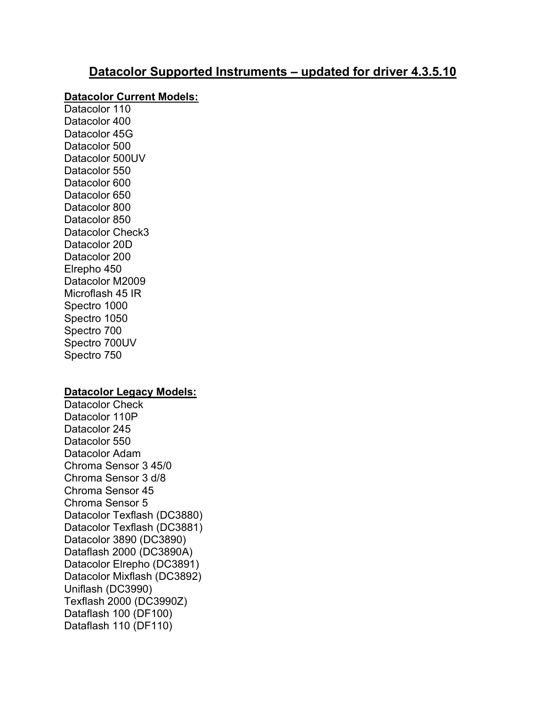# Datacolor Supported Instruments – updated for driver 4.3.5.10

#### Datacolor Current Models:

Datacolor 110 Datacolor 400 Datacolor 45G Datacolor 500 Datacolor 500UV Datacolor 550 Datacolor 600 Datacolor 650 Datacolor 800 Datacolor 850 Datacolor Check3 Datacolor 20D Datacolor 200 Elrepho 450 Datacolor M2009 Microflash 45 IR Spectro 1000 Spectro 1050 Spectro 700 Spectro 700UV Spectro 750

### Datacolor Legacy Models:

Datacolor Check Datacolor 110P Datacolor 245 Datacolor 550 Datacolor Adam Chroma Sensor 3 45/0 Chroma Sensor 3 d/8 Chroma Sensor 45 Chroma Sensor 5 Datacolor Texflash (DC3880) Datacolor Texflash (DC3881) Datacolor 3890 (DC3890) Dataflash 2000 (DC3890A) Datacolor Elrepho (DC3891) Datacolor Mixflash (DC3892) Uniflash (DC3990) Texflash 2000 (DC3990Z) Dataflash 100 (DF100) Dataflash 110 (DF110)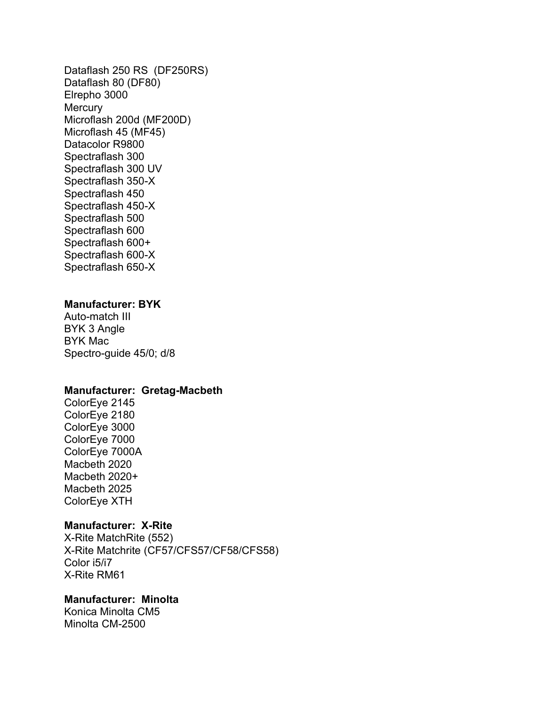Dataflash 250 RS (DF250RS) Dataflash 80 (DF80) Elrepho 3000 **Mercury** Microflash 200d (MF200D) Microflash 45 (MF45) Datacolor R9800 Spectraflash 300 Spectraflash 300 UV Spectraflash 350-X Spectraflash 450 Spectraflash 450-X Spectraflash 500 Spectraflash 600 Spectraflash 600+ Spectraflash 600-X Spectraflash 650-X

#### Manufacturer: BYK

Auto-match III BYK 3 Angle BYK Mac Spectro-guide 45/0; d/8

# Manufacturer: Gretag-Macbeth

ColorEye 2145 ColorEye 2180 ColorEye 3000 ColorEye 7000 ColorEye 7000A Macbeth 2020 Macbeth 2020+ Macbeth 2025 ColorEye XTH

### Manufacturer: X-Rite

X-Rite MatchRite (552) X-Rite Matchrite (CF57/CFS57/CF58/CFS58) Color i5/i7 X-Rite RM61

### Manufacturer: Minolta

Konica Minolta CM5 Minolta CM-2500